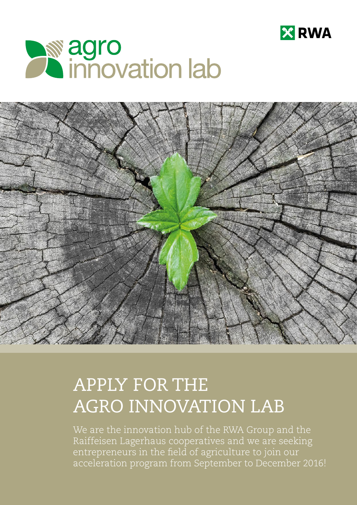





# APPLY FOR THE AGRO INNOVATION LAB

We are the innovation hub of the RWA Group and the Raiffeisen Lagerhaus cooperatives and we are seeking entrepreneurs in the field of agriculture to join our acceleration program from September to December 2016!